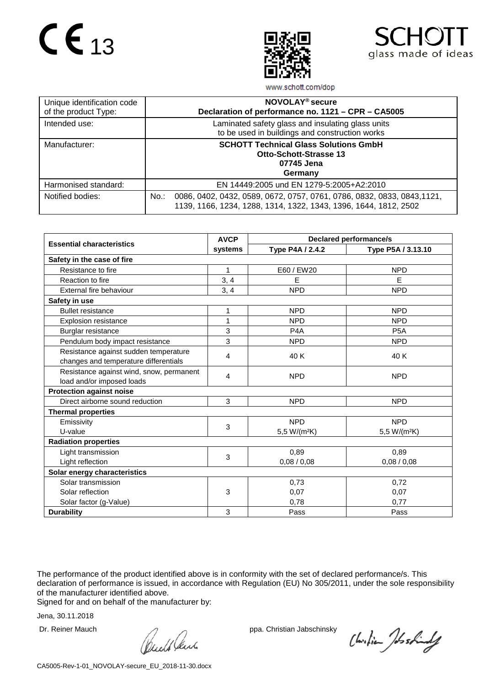



www.schott.com/dop

| Unique identification code<br>of the product Type: | NOVOLAY <sup>®</sup> secure<br>Declaration of performance no. 1121 - CPR - CA5005                                                                     |
|----------------------------------------------------|-------------------------------------------------------------------------------------------------------------------------------------------------------|
| Intended use:                                      | Laminated safety glass and insulating glass units<br>to be used in buildings and construction works                                                   |
| Manufacturer:                                      | <b>SCHOTT Technical Glass Solutions GmbH</b><br><b>Otto-Schott-Strasse 13</b><br>07745 Jena<br>Germany                                                |
| Harmonised standard:                               | EN 14449:2005 und EN 1279-5:2005+A2:2010                                                                                                              |
| Notified bodies:                                   | 0086, 0402, 0432, 0589, 0672, 0757, 0761, 0786, 0832, 0833, 0843,1121,<br>$No.$ :<br>1139, 1166, 1234, 1288, 1314, 1322, 1343, 1396, 1644, 1812, 2502 |

|                                          | <b>AVCP</b> | <b>Declared performance/s</b> |                          |  |  |
|------------------------------------------|-------------|-------------------------------|--------------------------|--|--|
| <b>Essential characteristics</b>         | systems     | Type P4A / 2.4.2              | Type P5A / 3.13.10       |  |  |
| Safety in the case of fire               |             |                               |                          |  |  |
| Resistance to fire                       | 1           | E60 / EW20                    | <b>NPD</b>               |  |  |
| Reaction to fire                         | 3, 4        | E                             | E                        |  |  |
| External fire behaviour                  | 3, 4        | <b>NPD</b>                    | <b>NPD</b>               |  |  |
| Safety in use                            |             |                               |                          |  |  |
| <b>Bullet resistance</b>                 | 1           | <b>NPD</b>                    | <b>NPD</b>               |  |  |
| <b>Explosion resistance</b>              | 1           | <b>NPD</b>                    | <b>NPD</b>               |  |  |
| Burglar resistance                       | 3           | P <sub>4</sub> A              | P <sub>5</sub> A         |  |  |
| Pendulum body impact resistance          | 3           | <b>NPD</b>                    | <b>NPD</b>               |  |  |
| Resistance against sudden temperature    | 4           | 40 K                          | 40 K                     |  |  |
| changes and temperature differentials    |             |                               |                          |  |  |
| Resistance against wind, snow, permanent | 4           | <b>NPD</b>                    | <b>NPD</b>               |  |  |
| load and/or imposed loads                |             |                               |                          |  |  |
| <b>Protection against noise</b>          |             |                               |                          |  |  |
| Direct airborne sound reduction          | 3           | <b>NPD</b>                    | <b>NPD</b>               |  |  |
| <b>Thermal properties</b>                |             |                               |                          |  |  |
| Emissivity                               | 3           | <b>NPD</b>                    | <b>NPD</b>               |  |  |
| U-value                                  |             | 5,5 W/(m <sup>2</sup> K)      | 5,5 W/(m <sup>2</sup> K) |  |  |
| <b>Radiation properties</b>              |             |                               |                          |  |  |
| Light transmission                       | 3           | 0,89                          | 0,89                     |  |  |
| Light reflection                         |             | 0,08/0,08                     | 0,08/0,08                |  |  |
| Solar energy characteristics             |             |                               |                          |  |  |
| Solar transmission                       |             | 0,73                          | 0,72                     |  |  |
| Solar reflection                         | 3           | 0,07                          | 0.07                     |  |  |
| Solar factor (g-Value)                   |             | 0,78                          | 0,77                     |  |  |
| <b>Durability</b>                        | 3           | Pass                          | Pass                     |  |  |

The performance of the product identified above is in conformity with the set of declared performance/s. This declaration of performance is issued, in accordance with Regulation (EU) No 305/2011, under the sole responsibility of the manufacturer identified above.

Signed for and on behalf of the manufacturer by:

Dr. Reiner Mauch ppa. Christian Jabschinsky<br>
ppa. Christian Jabschinsky<br>
ppa. Christian Jabschinsky

Christian Joshindy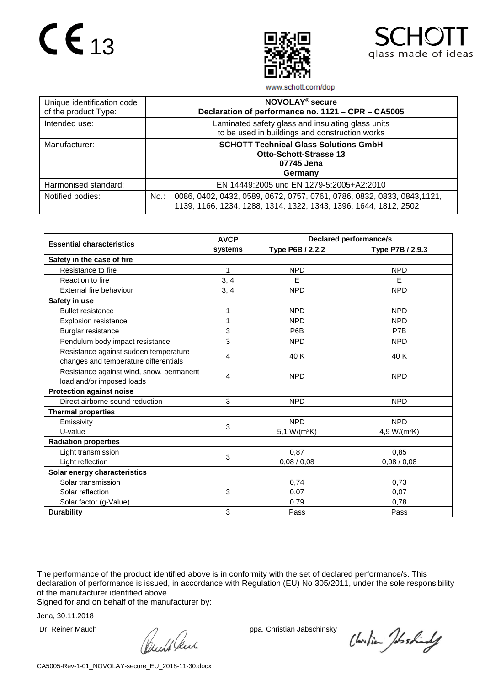



www.schott.com/dop

| Unique identification code<br>of the product Type: | NOVOLAY <sup>®</sup> secure<br>Declaration of performance no. 1121 - CPR - CA5005                                                                      |
|----------------------------------------------------|--------------------------------------------------------------------------------------------------------------------------------------------------------|
| Intended use:                                      | Laminated safety glass and insulating glass units<br>to be used in buildings and construction works                                                    |
| Manufacturer:                                      | <b>SCHOTT Technical Glass Solutions GmbH</b><br><b>Otto-Schott-Strasse 13</b><br>07745 Jena<br>Germany                                                 |
| Harmonised standard:                               | EN 14449:2005 und EN 1279-5:2005+A2:2010                                                                                                               |
| Notified bodies:                                   | 0086, 0402, 0432, 0589, 0672, 0757, 0761, 0786, 0832, 0833, 0843, 1121,<br>$No.$ :<br>1139, 1166, 1234, 1288, 1314, 1322, 1343, 1396, 1644, 1812, 2502 |

|                                          | <b>AVCP</b> | <b>Declared performance/s</b> |                          |  |  |
|------------------------------------------|-------------|-------------------------------|--------------------------|--|--|
| <b>Essential characteristics</b>         | systems     | Type P6B / 2.2.2              | Type P7B / 2.9.3         |  |  |
| Safety in the case of fire               |             |                               |                          |  |  |
| Resistance to fire                       | 1           | <b>NPD</b>                    | <b>NPD</b>               |  |  |
| Reaction to fire                         | 3, 4        | E                             | E                        |  |  |
| External fire behaviour                  | 3, 4        | <b>NPD</b>                    | <b>NPD</b>               |  |  |
| Safety in use                            |             |                               |                          |  |  |
| <b>Bullet resistance</b>                 | 1           | <b>NPD</b>                    | <b>NPD</b>               |  |  |
| <b>Explosion resistance</b>              | 1           | <b>NPD</b>                    | <b>NPD</b>               |  |  |
| Burglar resistance                       | 3           | P6B                           | P7B                      |  |  |
| Pendulum body impact resistance          | 3           | <b>NPD</b>                    | <b>NPD</b>               |  |  |
| Resistance against sudden temperature    | 4           | 40 K                          | 40 K                     |  |  |
| changes and temperature differentials    |             |                               |                          |  |  |
| Resistance against wind, snow, permanent | 4           | <b>NPD</b>                    | <b>NPD</b>               |  |  |
| load and/or imposed loads                |             |                               |                          |  |  |
| <b>Protection against noise</b>          |             |                               |                          |  |  |
| Direct airborne sound reduction          | 3           | <b>NPD</b>                    | <b>NPD</b>               |  |  |
| <b>Thermal properties</b>                |             |                               |                          |  |  |
| Emissivity                               | 3           | <b>NPD</b>                    | <b>NPD</b>               |  |  |
| U-value                                  |             | 5,1 W/(m <sup>2</sup> K)      | 4,9 W/(m <sup>2</sup> K) |  |  |
| <b>Radiation properties</b>              |             |                               |                          |  |  |
| Light transmission                       | 3           | 0,87                          | 0,85                     |  |  |
| Light reflection                         |             | 0,08/0,08                     | 0,08/0,08                |  |  |
| Solar energy characteristics             |             |                               |                          |  |  |
| Solar transmission                       |             | 0,74                          | 0,73                     |  |  |
| Solar reflection                         | 3           | 0,07                          | 0.07                     |  |  |
| Solar factor (g-Value)                   |             | 0,79                          | 0,78                     |  |  |
| <b>Durability</b>                        | 3           | Pass                          | Pass                     |  |  |

The performance of the product identified above is in conformity with the set of declared performance/s. This declaration of performance is issued, in accordance with Regulation (EU) No 305/2011, under the sole responsibility of the manufacturer identified above.

Signed for and on behalf of the manufacturer by:

Dr. Reiner Mauch ppa. Christian Jabschinsky<br>
ppa. Christian Jabschinsky<br>
ppa. Christian Jabschinsky

Christian Joshindy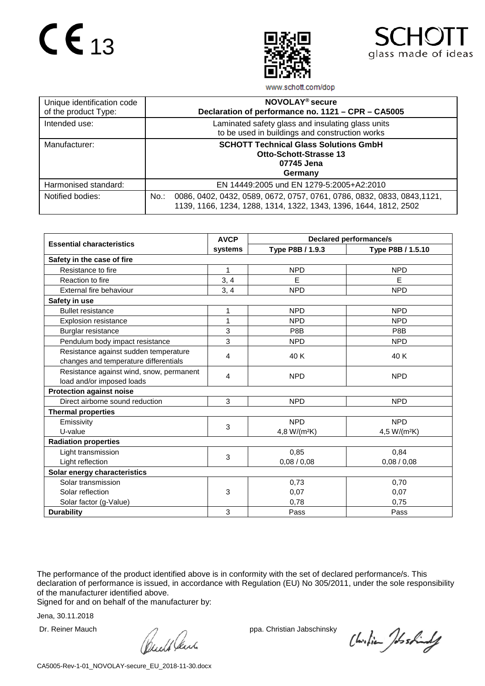



www.schott.com/dop

| Unique identification code<br>of the product Type: | NOVOLAY <sup>®</sup> secure<br>Declaration of performance no. 1121 - CPR - CA5005                                                                      |
|----------------------------------------------------|--------------------------------------------------------------------------------------------------------------------------------------------------------|
| Intended use:                                      | Laminated safety glass and insulating glass units<br>to be used in buildings and construction works                                                    |
| Manufacturer:                                      | <b>SCHOTT Technical Glass Solutions GmbH</b><br><b>Otto-Schott-Strasse 13</b><br>07745 Jena<br>Germany                                                 |
| Harmonised standard:                               | EN 14449:2005 und EN 1279-5:2005+A2:2010                                                                                                               |
| Notified bodies:                                   | 0086, 0402, 0432, 0589, 0672, 0757, 0761, 0786, 0832, 0833, 0843, 1121,<br>$No.$ :<br>1139, 1166, 1234, 1288, 1314, 1322, 1343, 1396, 1644, 1812, 2502 |

|                                          | <b>AVCP</b> | <b>Declared performance/s</b> |                          |  |  |  |
|------------------------------------------|-------------|-------------------------------|--------------------------|--|--|--|
| <b>Essential characteristics</b>         | systems     | Type P8B / 1.9.3              | Type P8B / 1.5.10        |  |  |  |
| Safety in the case of fire               |             |                               |                          |  |  |  |
| Resistance to fire                       | 1           | <b>NPD</b>                    | <b>NPD</b>               |  |  |  |
| Reaction to fire                         | 3, 4        | E                             | E                        |  |  |  |
| External fire behaviour                  | 3, 4        | <b>NPD</b>                    | <b>NPD</b>               |  |  |  |
| Safety in use                            |             |                               |                          |  |  |  |
| <b>Bullet resistance</b>                 | 1           | <b>NPD</b>                    | <b>NPD</b>               |  |  |  |
| <b>Explosion resistance</b>              | 1           | <b>NPD</b>                    | <b>NPD</b>               |  |  |  |
| Burglar resistance                       | 3           | P8B                           | P8B                      |  |  |  |
| Pendulum body impact resistance          | 3           | <b>NPD</b>                    | <b>NPD</b>               |  |  |  |
| Resistance against sudden temperature    | 4           | 40 K                          | 40 K                     |  |  |  |
| changes and temperature differentials    |             |                               |                          |  |  |  |
| Resistance against wind, snow, permanent | 4           | <b>NPD</b>                    | <b>NPD</b>               |  |  |  |
| load and/or imposed loads                |             |                               |                          |  |  |  |
| <b>Protection against noise</b>          |             |                               |                          |  |  |  |
| Direct airborne sound reduction          | 3           | <b>NPD</b>                    | <b>NPD</b>               |  |  |  |
| <b>Thermal properties</b>                |             |                               |                          |  |  |  |
| Emissivity                               | 3           | <b>NPD</b>                    | <b>NPD</b>               |  |  |  |
| U-value                                  |             | 4,8 W/(m <sup>2</sup> K)      | 4,5 W/(m <sup>2</sup> K) |  |  |  |
| <b>Radiation properties</b>              |             |                               |                          |  |  |  |
| Light transmission                       | 3           | 0,85                          | 0,84                     |  |  |  |
| Light reflection                         |             | 0,08/0,08                     | 0,08/0,08                |  |  |  |
| Solar energy characteristics             |             |                               |                          |  |  |  |
| Solar transmission                       |             | 0,73                          | 0,70                     |  |  |  |
| Solar reflection                         | 3           | 0,07                          | 0.07                     |  |  |  |
| Solar factor (g-Value)                   |             | 0,78                          | 0,75                     |  |  |  |
| <b>Durability</b>                        | 3           | Pass                          | Pass                     |  |  |  |

The performance of the product identified above is in conformity with the set of declared performance/s. This declaration of performance is issued, in accordance with Regulation (EU) No 305/2011, under the sole responsibility of the manufacturer identified above.

Signed for and on behalf of the manufacturer by:

Dr. Reiner Mauch ppa. Christian Jabschinsky<br>
ppa. Christian Jabschinsky<br>
ppa. Christian Jabschinsky

Christian Joshindy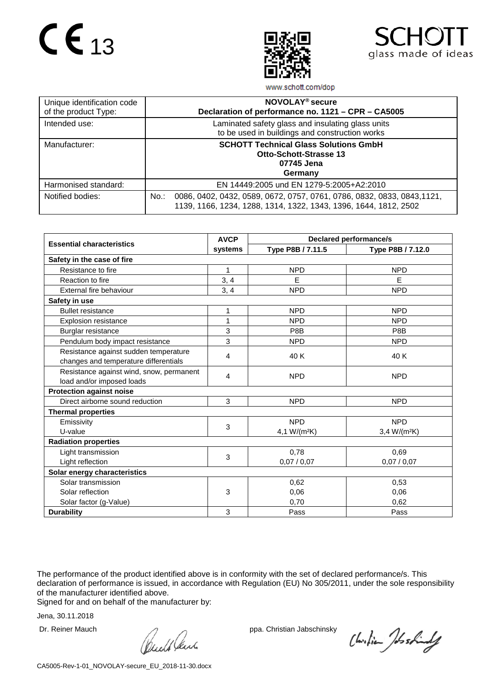



www.schott.com/dop

| Unique identification code<br>of the product Type: | NOVOLAY <sup>®</sup> secure<br>Declaration of performance no. 1121 - CPR - CA5005                                                                   |  |  |
|----------------------------------------------------|-----------------------------------------------------------------------------------------------------------------------------------------------------|--|--|
| Intended use:                                      | Laminated safety glass and insulating glass units<br>to be used in buildings and construction works                                                 |  |  |
| Manufacturer:                                      | <b>SCHOTT Technical Glass Solutions GmbH</b><br><b>Otto-Schott-Strasse 13</b><br>07745 Jena<br>Germany                                              |  |  |
| Harmonised standard:                               | EN 14449:2005 und EN 1279-5:2005+A2:2010                                                                                                            |  |  |
| Notified bodies:                                   | 0086, 0402, 0432, 0589, 0672, 0757, 0761, 0786, 0832, 0833, 0843, 1121,<br>No.:<br>1139, 1166, 1234, 1288, 1314, 1322, 1343, 1396, 1644, 1812, 2502 |  |  |

|                                          | <b>AVCP</b>    | <b>Declared performance/s</b> |                   |  |  |  |
|------------------------------------------|----------------|-------------------------------|-------------------|--|--|--|
| <b>Essential characteristics</b>         | systems        | Type P8B / 7.11.5             | Type P8B / 7.12.0 |  |  |  |
| Safety in the case of fire               |                |                               |                   |  |  |  |
| Resistance to fire                       | 1              | <b>NPD</b>                    | <b>NPD</b>        |  |  |  |
| Reaction to fire                         | 3, 4           | E                             | E                 |  |  |  |
| External fire behaviour                  | 3, 4           | <b>NPD</b>                    | <b>NPD</b>        |  |  |  |
| Safety in use                            |                |                               |                   |  |  |  |
| <b>Bullet resistance</b>                 | 1              | <b>NPD</b>                    | <b>NPD</b>        |  |  |  |
| <b>Explosion resistance</b>              | 1              | <b>NPD</b>                    | <b>NPD</b>        |  |  |  |
| Burglar resistance                       | 3              | P8B                           | P8B               |  |  |  |
| Pendulum body impact resistance          | 3              | <b>NPD</b>                    | <b>NPD</b>        |  |  |  |
| Resistance against sudden temperature    | $\overline{4}$ | 40 K                          | 40 K              |  |  |  |
| changes and temperature differentials    |                |                               |                   |  |  |  |
| Resistance against wind, snow, permanent | $\overline{4}$ | <b>NPD</b>                    | <b>NPD</b>        |  |  |  |
| load and/or imposed loads                |                |                               |                   |  |  |  |
| <b>Protection against noise</b>          |                |                               |                   |  |  |  |
| Direct airborne sound reduction          | 3              | <b>NPD</b>                    | <b>NPD</b>        |  |  |  |
| <b>Thermal properties</b>                |                |                               |                   |  |  |  |
| Emissivity                               | 3              | <b>NPD</b>                    | <b>NPD</b>        |  |  |  |
| U-value                                  |                | 4,1 W/(m <sup>2</sup> K)      | $3,4 W/(m^2K)$    |  |  |  |
| <b>Radiation properties</b>              |                |                               |                   |  |  |  |
| Light transmission                       | 3              | 0,78                          | 0,69              |  |  |  |
| Light reflection                         |                | 0,07/0,07                     | 0,07/0,07         |  |  |  |
| Solar energy characteristics             |                |                               |                   |  |  |  |
| Solar transmission                       |                | 0,62                          | 0,53              |  |  |  |
| Solar reflection                         | 3              | 0,06                          | 0.06              |  |  |  |
| Solar factor (g-Value)                   |                | 0,70                          | 0,62              |  |  |  |
| <b>Durability</b>                        | 3              | Pass                          | Pass              |  |  |  |

The performance of the product identified above is in conformity with the set of declared performance/s. This declaration of performance is issued, in accordance with Regulation (EU) No 305/2011, under the sole responsibility of the manufacturer identified above.

Signed for and on behalf of the manufacturer by:

Dr. Reiner Mauch ppa. Christian Jabschinsky<br>
ppa. Christian Jabschinsky<br>
ppa. Christian Jabschinsky

Christian Joshindy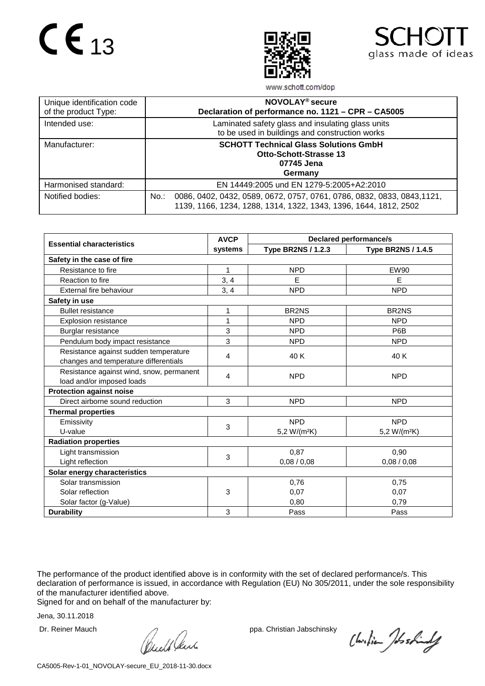



www.schott.com/dop

| Unique identification code<br>of the product Type: | NOVOLAY <sup>®</sup> secure<br>Declaration of performance no. 1121 - CPR - CA5005                                                                     |
|----------------------------------------------------|-------------------------------------------------------------------------------------------------------------------------------------------------------|
| Intended use:                                      | Laminated safety glass and insulating glass units<br>to be used in buildings and construction works                                                   |
| Manufacturer:                                      | <b>SCHOTT Technical Glass Solutions GmbH</b><br><b>Otto-Schott-Strasse 13</b><br>07745 Jena<br>Germany                                                |
| Harmonised standard:                               | EN 14449:2005 und EN 1279-5:2005+A2:2010                                                                                                              |
| Notified bodies:                                   | 0086, 0402, 0432, 0589, 0672, 0757, 0761, 0786, 0832, 0833, 0843,1121,<br>$No.$ :<br>1139, 1166, 1234, 1288, 1314, 1322, 1343, 1396, 1644, 1812, 2502 |

|                                          | <b>AVCP</b> | <b>Declared performance/s</b> |                           |  |  |
|------------------------------------------|-------------|-------------------------------|---------------------------|--|--|
| <b>Essential characteristics</b>         | systems     | <b>Type BR2NS / 1.2.3</b>     | <b>Type BR2NS / 1.4.5</b> |  |  |
| Safety in the case of fire               |             |                               |                           |  |  |
| Resistance to fire                       | 1           | <b>NPD</b>                    | <b>EW90</b>               |  |  |
| Reaction to fire                         | 3, 4        | E                             | E                         |  |  |
| External fire behaviour                  | 3, 4        | <b>NPD</b>                    | <b>NPD</b>                |  |  |
| Safety in use                            |             |                               |                           |  |  |
| <b>Bullet resistance</b>                 | 1           | BR2NS                         | BR <sub>2NS</sub>         |  |  |
| <b>Explosion resistance</b>              | 1           | <b>NPD</b>                    | <b>NPD</b>                |  |  |
| Burglar resistance                       | 3           | <b>NPD</b>                    | P6B                       |  |  |
| Pendulum body impact resistance          | 3           | <b>NPD</b>                    | <b>NPD</b>                |  |  |
| Resistance against sudden temperature    | 4           | 40 K                          | 40 K                      |  |  |
| changes and temperature differentials    |             |                               |                           |  |  |
| Resistance against wind, snow, permanent | 4           | <b>NPD</b>                    | <b>NPD</b>                |  |  |
| load and/or imposed loads                |             |                               |                           |  |  |
| <b>Protection against noise</b>          |             |                               |                           |  |  |
| Direct airborne sound reduction          | 3           | <b>NPD</b>                    | <b>NPD</b>                |  |  |
| <b>Thermal properties</b>                |             |                               |                           |  |  |
| Emissivity                               | 3           | <b>NPD</b>                    | <b>NPD</b>                |  |  |
| U-value                                  |             | 5,2 W/(m <sup>2</sup> K)      | 5,2 W/(m <sup>2</sup> K)  |  |  |
| <b>Radiation properties</b>              |             |                               |                           |  |  |
| Light transmission                       | 3           | 0,87                          | 0,90                      |  |  |
| Light reflection                         |             | 0,08/0,08                     | 0,08/0,08                 |  |  |
| Solar energy characteristics             |             |                               |                           |  |  |
| Solar transmission                       |             | 0,76                          | 0,75                      |  |  |
| Solar reflection                         | 3           | 0,07                          | 0.07                      |  |  |
| Solar factor (g-Value)                   |             | 0.80                          | 0,79                      |  |  |
| <b>Durability</b>                        | 3           | Pass                          | Pass                      |  |  |

The performance of the product identified above is in conformity with the set of declared performance/s. This declaration of performance is issued, in accordance with Regulation (EU) No 305/2011, under the sole responsibility of the manufacturer identified above.

Signed for and on behalf of the manufacturer by:

Dr. Reiner Mauch ppa. Christian Jabschinsky<br>
ppa. Christian Jabschinsky<br>
ppa. Christian Jabschinsky

Christian Joshindy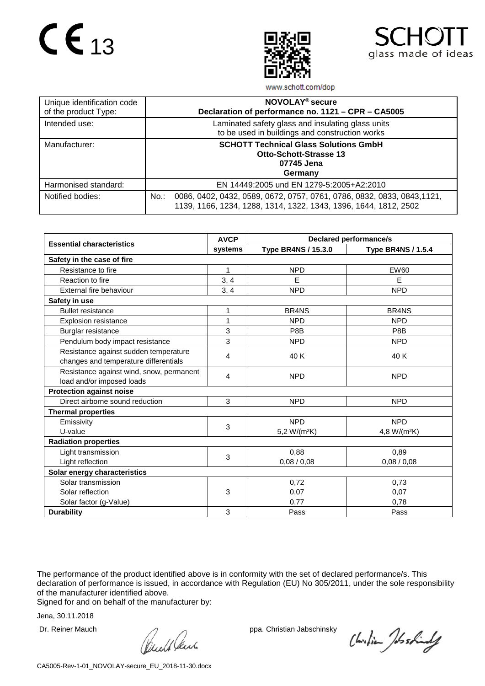



www.schott.com/dop

| Unique identification code<br>of the product Type: | NOVOLAY <sup>®</sup> secure<br>Declaration of performance no. 1121 - CPR - CA5005                                                                      |
|----------------------------------------------------|--------------------------------------------------------------------------------------------------------------------------------------------------------|
| Intended use:                                      | Laminated safety glass and insulating glass units<br>to be used in buildings and construction works                                                    |
| Manufacturer:                                      | <b>SCHOTT Technical Glass Solutions GmbH</b><br><b>Otto-Schott-Strasse 13</b><br>07745 Jena<br>Germany                                                 |
| Harmonised standard:                               | EN 14449:2005 und EN 1279-5:2005+A2:2010                                                                                                               |
| Notified bodies:                                   | 0086, 0402, 0432, 0589, 0672, 0757, 0761, 0786, 0832, 0833, 0843, 1121,<br>$No.$ :<br>1139, 1166, 1234, 1288, 1314, 1322, 1343, 1396, 1644, 1812, 2502 |

|                                          | <b>AVCP</b> | <b>Declared performance/s</b>  |                                |  |  |
|------------------------------------------|-------------|--------------------------------|--------------------------------|--|--|
| <b>Essential characteristics</b>         | systems     | <b>Type BR4NS / 15.3.0</b>     | <b>Type BR4NS / 1.5.4</b>      |  |  |
| Safety in the case of fire               |             |                                |                                |  |  |
| Resistance to fire                       | 1           | <b>NPD</b>                     | <b>EW60</b>                    |  |  |
| Reaction to fire                         | 3, 4        | E                              | E                              |  |  |
| External fire behaviour                  | 3, 4        | <b>NPD</b>                     | <b>NPD</b>                     |  |  |
| Safety in use                            |             |                                |                                |  |  |
| <b>Bullet resistance</b>                 | 1           | BR <sub>4</sub> N <sub>S</sub> | BR <sub>4</sub> N <sub>S</sub> |  |  |
| <b>Explosion resistance</b>              | 1           | <b>NPD</b>                     | <b>NPD</b>                     |  |  |
| Burglar resistance                       | 3           | P8B                            | P8B                            |  |  |
| Pendulum body impact resistance          | 3           | <b>NPD</b>                     | <b>NPD</b>                     |  |  |
| Resistance against sudden temperature    | 4           | 40 K                           | 40 K                           |  |  |
| changes and temperature differentials    |             |                                |                                |  |  |
| Resistance against wind, snow, permanent | 4           | <b>NPD</b>                     | <b>NPD</b>                     |  |  |
| load and/or imposed loads                |             |                                |                                |  |  |
| <b>Protection against noise</b>          |             |                                |                                |  |  |
| Direct airborne sound reduction          | 3           | <b>NPD</b>                     | <b>NPD</b>                     |  |  |
| <b>Thermal properties</b>                |             |                                |                                |  |  |
| Emissivity                               | 3           | <b>NPD</b>                     | <b>NPD</b>                     |  |  |
| U-value                                  |             | 5,2 W/(m <sup>2</sup> K)       | 4,8 W/(m <sup>2</sup> K)       |  |  |
| <b>Radiation properties</b>              |             |                                |                                |  |  |
| Light transmission                       | 3           | 0,88                           | 0,89                           |  |  |
| Light reflection                         |             | 0,08/0,08                      | 0,08/0,08                      |  |  |
| Solar energy characteristics             |             |                                |                                |  |  |
| Solar transmission                       |             | 0,72                           | 0,73                           |  |  |
| Solar reflection                         | 3           | 0,07                           | 0.07                           |  |  |
| Solar factor (g-Value)                   |             | 0.77                           | 0,78                           |  |  |
| <b>Durability</b>                        | 3           | Pass                           | Pass                           |  |  |

The performance of the product identified above is in conformity with the set of declared performance/s. This declaration of performance is issued, in accordance with Regulation (EU) No 305/2011, under the sole responsibility of the manufacturer identified above.

Signed for and on behalf of the manufacturer by:

Dr. Reiner Mauch ppa. Christian Jabschinsky<br>
ppa. Christian Jabschinsky<br>
ppa. Christian Jabschinsky

Christian Joshindy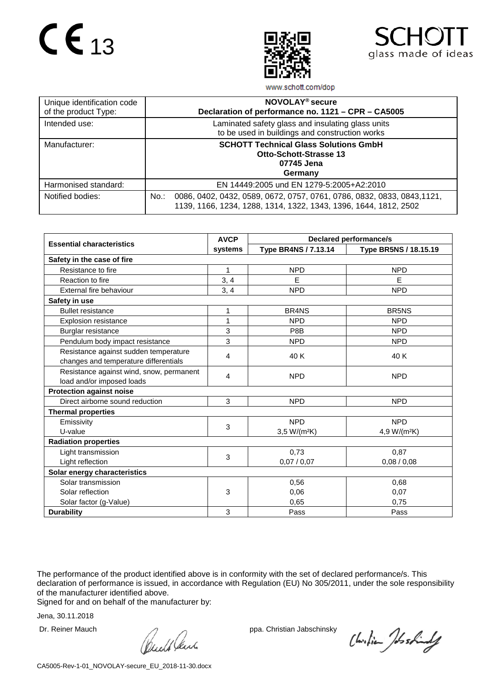



www.schott.com/dop

| Unique identification code<br>of the product Type: | NOVOLAY <sup>®</sup> secure<br>Declaration of performance no. 1121 - CPR - CA5005                                                                  |
|----------------------------------------------------|----------------------------------------------------------------------------------------------------------------------------------------------------|
| Intended use:                                      | Laminated safety glass and insulating glass units<br>to be used in buildings and construction works                                                |
| Manufacturer:                                      | <b>SCHOTT Technical Glass Solutions GmbH</b><br><b>Otto-Schott-Strasse 13</b><br>07745 Jena<br>Germany                                             |
| Harmonised standard:                               | EN 14449:2005 und EN 1279-5:2005+A2:2010                                                                                                           |
| Notified bodies:                                   | 0086, 0402, 0432, 0589, 0672, 0757, 0761, 0786, 0832, 0833, 0843, 1121,<br>No.<br>1139, 1166, 1234, 1288, 1314, 1322, 1343, 1396, 1644, 1812, 2502 |

|                                          | <b>AVCP</b> |                                | <b>Declared performance/s</b> |  |  |
|------------------------------------------|-------------|--------------------------------|-------------------------------|--|--|
| <b>Essential characteristics</b>         | systems     | Type BR4NS / 7.13.14           | Type BR5NS / 18.15.19         |  |  |
| Safety in the case of fire               |             |                                |                               |  |  |
| Resistance to fire                       | 1           | <b>NPD</b>                     | <b>NPD</b>                    |  |  |
| Reaction to fire                         | 3, 4        | E                              | E                             |  |  |
| External fire behaviour                  | 3, 4        | <b>NPD</b>                     | <b>NPD</b>                    |  |  |
| Safety in use                            |             |                                |                               |  |  |
| <b>Bullet resistance</b>                 | 1           | BR <sub>4</sub> N <sub>S</sub> | <b>BR5NS</b>                  |  |  |
| <b>Explosion resistance</b>              | 1           | <b>NPD</b>                     | <b>NPD</b>                    |  |  |
| Burglar resistance                       | 3           | P8B                            | <b>NPD</b>                    |  |  |
| Pendulum body impact resistance          | 3           | <b>NPD</b>                     | <b>NPD</b>                    |  |  |
| Resistance against sudden temperature    | 4           | 40 K                           | 40 K                          |  |  |
| changes and temperature differentials    |             |                                |                               |  |  |
| Resistance against wind, snow, permanent | 4           | <b>NPD</b>                     | <b>NPD</b>                    |  |  |
| load and/or imposed loads                |             |                                |                               |  |  |
| <b>Protection against noise</b>          |             |                                |                               |  |  |
| Direct airborne sound reduction          | 3           | <b>NPD</b>                     | <b>NPD</b>                    |  |  |
| <b>Thermal properties</b>                |             |                                |                               |  |  |
| Emissivity                               | 3           | <b>NPD</b>                     | <b>NPD</b>                    |  |  |
| U-value                                  |             | $3,5 W/(m^2K)$                 | 4,9 W/(m <sup>2</sup> K)      |  |  |
| <b>Radiation properties</b>              |             |                                |                               |  |  |
| Light transmission                       | 3           | 0,73                           | 0,87                          |  |  |
| Light reflection                         |             | 0,07/0,07                      | 0,08/0,08                     |  |  |
| Solar energy characteristics             |             |                                |                               |  |  |
| Solar transmission                       |             | 0,56                           | 0,68                          |  |  |
| Solar reflection                         | 3           | 0.06                           | 0.07                          |  |  |
| Solar factor (g-Value)                   |             | 0,65                           | 0.75                          |  |  |
| <b>Durability</b>                        | 3           | Pass                           | Pass                          |  |  |

The performance of the product identified above is in conformity with the set of declared performance/s. This declaration of performance is issued, in accordance with Regulation (EU) No 305/2011, under the sole responsibility of the manufacturer identified above.

Signed for and on behalf of the manufacturer by:

Dr. Reiner Mauch ppa. Christian Jabschinsky<br>
ppa. Christian Jabschinsky<br>
ppa. Christian Jabschinsky

Christian Joshindy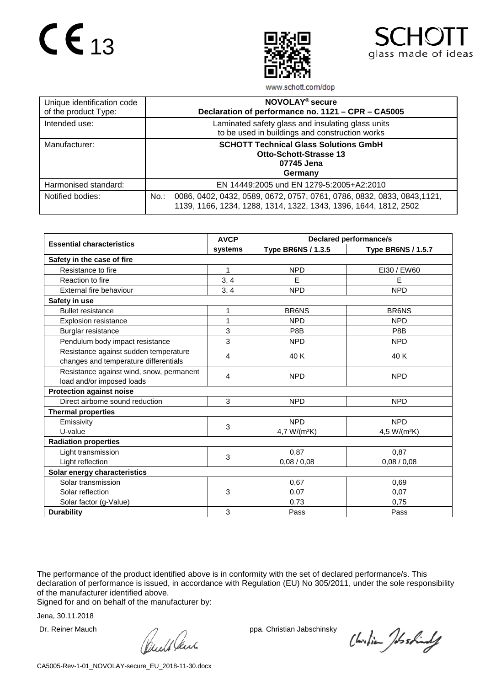



www.schott.com/dop

| Unique identification code<br>of the product Type: | NOVOLAY <sup>®</sup> secure<br>Declaration of performance no. 1121 - CPR - CA5005                                                                  |
|----------------------------------------------------|----------------------------------------------------------------------------------------------------------------------------------------------------|
| Intended use:                                      | Laminated safety glass and insulating glass units<br>to be used in buildings and construction works                                                |
| Manufacturer:                                      | <b>SCHOTT Technical Glass Solutions GmbH</b><br><b>Otto-Schott-Strasse 13</b><br>07745 Jena<br>Germany                                             |
| Harmonised standard:                               | EN 14449:2005 und EN 1279-5:2005+A2:2010                                                                                                           |
| Notified bodies:                                   | 0086, 0402, 0432, 0589, 0672, 0757, 0761, 0786, 0832, 0833, 0843, 1121,<br>No.<br>1139, 1166, 1234, 1288, 1314, 1322, 1343, 1396, 1644, 1812, 2502 |

|                                          | <b>AVCP</b> | <b>Declared performance/s</b> |                           |  |  |
|------------------------------------------|-------------|-------------------------------|---------------------------|--|--|
| <b>Essential characteristics</b>         | systems     | <b>Type BR6NS / 1.3.5</b>     | <b>Type BR6NS / 1.5.7</b> |  |  |
| Safety in the case of fire               |             |                               |                           |  |  |
| Resistance to fire                       | 1           | <b>NPD</b>                    | EI30 / EW60               |  |  |
| Reaction to fire                         | 3, 4        | E                             | E                         |  |  |
| External fire behaviour                  | 3, 4        | <b>NPD</b>                    | <b>NPD</b>                |  |  |
| Safety in use                            |             |                               |                           |  |  |
| <b>Bullet resistance</b>                 | 1           | <b>BR6NS</b>                  | <b>BR6NS</b>              |  |  |
| <b>Explosion resistance</b>              | 1           | <b>NPD</b>                    | <b>NPD</b>                |  |  |
| Burglar resistance                       | 3           | P8B                           | P8B                       |  |  |
| Pendulum body impact resistance          | 3           | <b>NPD</b>                    | <b>NPD</b>                |  |  |
| Resistance against sudden temperature    | 4           | 40 K                          | 40 K                      |  |  |
| changes and temperature differentials    |             |                               |                           |  |  |
| Resistance against wind, snow, permanent | 4           | <b>NPD</b>                    | <b>NPD</b>                |  |  |
| load and/or imposed loads                |             |                               |                           |  |  |
| <b>Protection against noise</b>          |             |                               |                           |  |  |
| Direct airborne sound reduction          | 3           | <b>NPD</b>                    | <b>NPD</b>                |  |  |
| <b>Thermal properties</b>                |             |                               |                           |  |  |
| Emissivity                               | 3           | <b>NPD</b>                    | <b>NPD</b>                |  |  |
| U-value                                  |             | 4,7 W/(m <sup>2</sup> K)      | 4,5 W/(m <sup>2</sup> K)  |  |  |
| <b>Radiation properties</b>              |             |                               |                           |  |  |
| Light transmission                       | 3           | 0,87                          | 0,87                      |  |  |
| Light reflection                         |             | 0,08/0,08                     | 0,08/0,08                 |  |  |
| Solar energy characteristics             |             |                               |                           |  |  |
| Solar transmission                       |             | 0,67                          | 0,69                      |  |  |
| Solar reflection                         | 3           | 0,07                          | 0.07                      |  |  |
| Solar factor (g-Value)                   |             | 0,73                          | 0,75                      |  |  |
| <b>Durability</b>                        | 3           | Pass                          | Pass                      |  |  |

The performance of the product identified above is in conformity with the set of declared performance/s. This declaration of performance is issued, in accordance with Regulation (EU) No 305/2011, under the sole responsibility of the manufacturer identified above.

Signed for and on behalf of the manufacturer by:

Dr. Reiner Mauch ppa. Christian Jabschinsky<br>
ppa. Christian Jabschinsky<br>
ppa. Christian Jabschinsky

Christian Joshindy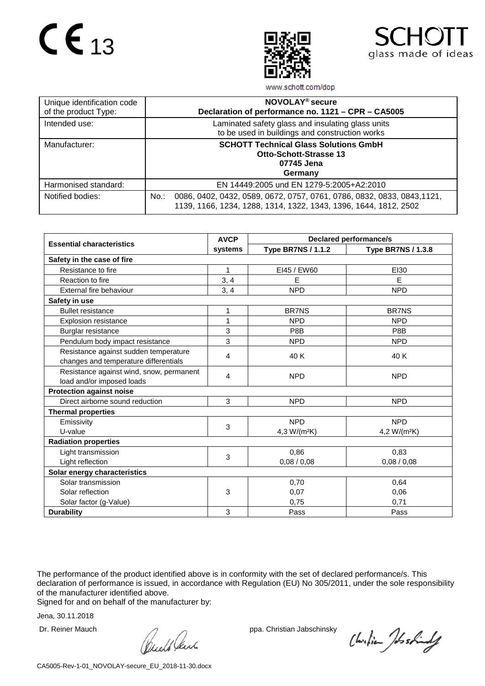



www.schott.com/dop

| Unique identification code<br>of the product Type: | NOVOLAY <sup>®</sup> secure<br>Declaration of performance no. 1121 - CPR - CA5005                                                                     |
|----------------------------------------------------|-------------------------------------------------------------------------------------------------------------------------------------------------------|
| Intended use:                                      | Laminated safety glass and insulating glass units<br>to be used in buildings and construction works                                                   |
| Manufacturer:                                      | <b>SCHOTT Technical Glass Solutions GmbH</b><br><b>Otto-Schott-Strasse 13</b><br>07745 Jena<br>Germany                                                |
| Harmonised standard:                               | EN 14449:2005 und EN 1279-5:2005+A2:2010                                                                                                              |
| Notified bodies:                                   | 0086, 0402, 0432, 0589, 0672, 0757, 0761, 0786, 0832, 0833, 0843,1121,<br>$No.$ :<br>1139, 1166, 1234, 1288, 1314, 1322, 1343, 1396, 1644, 1812, 2502 |

|                                          | <b>AVCP</b> | <b>Declared performance/s</b> |                           |  |  |
|------------------------------------------|-------------|-------------------------------|---------------------------|--|--|
| <b>Essential characteristics</b>         | systems     | <b>Type BR7NS / 1.1.2</b>     | <b>Type BR7NS / 1.3.8</b> |  |  |
| Safety in the case of fire               |             |                               |                           |  |  |
| Resistance to fire                       | 1           | EI45 / EW60                   | EI30                      |  |  |
| Reaction to fire                         | 3, 4        | Е                             | E                         |  |  |
| External fire behaviour                  | 3, 4        | <b>NPD</b>                    | <b>NPD</b>                |  |  |
| Safety in use                            |             |                               |                           |  |  |
| <b>Bullet resistance</b>                 | 1           | <b>BR7NS</b>                  | <b>BR7NS</b>              |  |  |
| <b>Explosion resistance</b>              | 1           | <b>NPD</b>                    | <b>NPD</b>                |  |  |
| Burglar resistance                       | 3           | P8B                           | P8B                       |  |  |
| Pendulum body impact resistance          | 3           | <b>NPD</b>                    | <b>NPD</b>                |  |  |
| Resistance against sudden temperature    | 4           | 40 K                          | 40 K                      |  |  |
| changes and temperature differentials    |             |                               |                           |  |  |
| Resistance against wind, snow, permanent | 4           | <b>NPD</b>                    | <b>NPD</b>                |  |  |
| load and/or imposed loads                |             |                               |                           |  |  |
| <b>Protection against noise</b>          |             |                               |                           |  |  |
| Direct airborne sound reduction          | 3           | <b>NPD</b>                    | <b>NPD</b>                |  |  |
| <b>Thermal properties</b>                |             |                               |                           |  |  |
| Emissivity                               | 3           | <b>NPD</b>                    | <b>NPD</b>                |  |  |
| U-value                                  |             | 4,3 W/(m <sup>2</sup> K)      | 4,2 W/(m <sup>2</sup> K)  |  |  |
| <b>Radiation properties</b>              |             |                               |                           |  |  |
| Light transmission                       | 3           | 0,86                          | 0,83                      |  |  |
| Light reflection                         |             | 0,08/0,08                     | 0,08/0,08                 |  |  |
| Solar energy characteristics             |             |                               |                           |  |  |
| Solar transmission                       |             | 0,70                          | 0,64                      |  |  |
| Solar reflection                         | 3           | 0,07                          | 0.06                      |  |  |
| Solar factor (g-Value)                   |             | 0,75                          | 0,71                      |  |  |
| <b>Durability</b>                        | 3           | Pass                          | Pass                      |  |  |

The performance of the product identified above is in conformity with the set of declared performance/s. This declaration of performance is issued, in accordance with Regulation (EU) No 305/2011, under the sole responsibility of the manufacturer identified above.

Signed for and on behalf of the manufacturer by:

Dr. Reiner Mauch ppa. Christian Jabschinsky<br>
ppa. Christian Jabschinsky<br>
ppa. Christian Jabschinsky

Christian Joshindy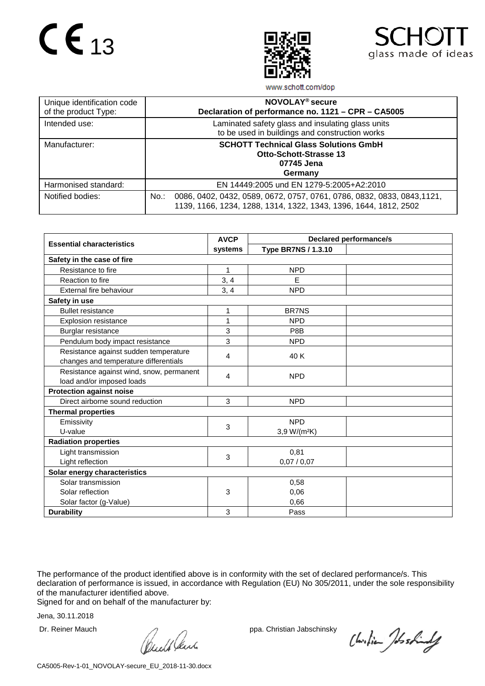



www.schott.com/dop

| Unique identification code<br>of the product Type: | NOVOLAY <sup>®</sup> secure<br>Declaration of performance no. 1121 - CPR - CA5005                                                                      |
|----------------------------------------------------|--------------------------------------------------------------------------------------------------------------------------------------------------------|
| Intended use:                                      | Laminated safety glass and insulating glass units<br>to be used in buildings and construction works                                                    |
| Manufacturer:                                      | <b>SCHOTT Technical Glass Solutions GmbH</b><br><b>Otto-Schott-Strasse 13</b><br>07745 Jena<br>Germany                                                 |
| Harmonised standard:                               | EN 14449:2005 und EN 1279-5:2005+A2:2010                                                                                                               |
| Notified bodies:                                   | 0086, 0402, 0432, 0589, 0672, 0757, 0761, 0786, 0832, 0833, 0843, 1121,<br>$No.$ :<br>1139, 1166, 1234, 1288, 1314, 1322, 1343, 1396, 1644, 1812, 2502 |

|                                          | <b>AVCP</b> | <b>Declared performance/s</b> |  |  |
|------------------------------------------|-------------|-------------------------------|--|--|
| <b>Essential characteristics</b>         | systems     | <b>Type BR7NS / 1.3.10</b>    |  |  |
| Safety in the case of fire               |             |                               |  |  |
| Resistance to fire                       | 1           | <b>NPD</b>                    |  |  |
| Reaction to fire                         | 3, 4        | E                             |  |  |
| External fire behaviour                  | 3, 4        | <b>NPD</b>                    |  |  |
| Safety in use                            |             |                               |  |  |
| <b>Bullet resistance</b>                 | 1           | <b>BR7NS</b>                  |  |  |
| <b>Explosion resistance</b>              | 1           | <b>NPD</b>                    |  |  |
| Burglar resistance                       | 3           | P8B                           |  |  |
| Pendulum body impact resistance          | 3           | <b>NPD</b>                    |  |  |
| Resistance against sudden temperature    | 4           | 40 K                          |  |  |
| changes and temperature differentials    |             |                               |  |  |
| Resistance against wind, snow, permanent | 4           | <b>NPD</b>                    |  |  |
| load and/or imposed loads                |             |                               |  |  |
| <b>Protection against noise</b>          |             |                               |  |  |
| Direct airborne sound reduction          | 3           | <b>NPD</b>                    |  |  |
| <b>Thermal properties</b>                |             |                               |  |  |
| Emissivity                               | 3           | <b>NPD</b>                    |  |  |
| U-value                                  |             | 3,9 W/(m <sup>2</sup> K)      |  |  |
| <b>Radiation properties</b>              |             |                               |  |  |
| Light transmission                       | 3           | 0,81                          |  |  |
| Light reflection                         |             | 0,07/0,07                     |  |  |
| Solar energy characteristics             |             |                               |  |  |
| Solar transmission                       |             | 0,58                          |  |  |
| Solar reflection                         | 3           | 0,06                          |  |  |
| Solar factor (g-Value)                   |             | 0,66                          |  |  |
| <b>Durability</b>                        | 3           | Pass                          |  |  |

The performance of the product identified above is in conformity with the set of declared performance/s. This declaration of performance is issued, in accordance with Regulation (EU) No 305/2011, under the sole responsibility of the manufacturer identified above.

Signed for and on behalf of the manufacturer by:

Dr. Reiner Mauch ppa. Christian Jabschinsky<br>
ppa. Christian Jabschinsky<br>
ppa. Christian Jabschinsky

Christian Joshindy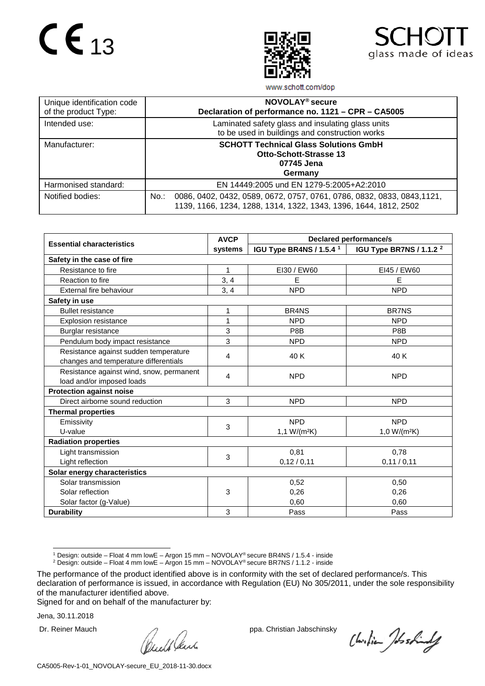



www.schott.com/dop

| Unique identification code<br>of the product Type: | NOVOLAY <sup>®</sup> secure<br>Declaration of performance no. 1121 - CPR - CA5005                                                                      |
|----------------------------------------------------|--------------------------------------------------------------------------------------------------------------------------------------------------------|
| Intended use:                                      | Laminated safety glass and insulating glass units<br>to be used in buildings and construction works                                                    |
| Manufacturer:                                      | <b>SCHOTT Technical Glass Solutions GmbH</b><br><b>Otto-Schott-Strasse 13</b><br>07745 Jena<br>Germany                                                 |
| Harmonised standard:                               | EN 14449:2005 und EN 1279-5:2005+A2:2010                                                                                                               |
| Notified bodies:                                   | 0086, 0402, 0432, 0589, 0672, 0757, 0761, 0786, 0832, 0833, 0843, 1121,<br>$No.$ :<br>1139, 1166, 1234, 1288, 1314, 1322, 1343, 1396, 1644, 1812, 2502 |

|                                          | <b>AVCP</b> | <b>Declared performance/s</b>       |                                     |  |  |
|------------------------------------------|-------------|-------------------------------------|-------------------------------------|--|--|
| <b>Essential characteristics</b>         | systems     | IGU Type BR4NS / 1.5.4 <sup>1</sup> | IGU Type BR7NS / 1.1.2 <sup>2</sup> |  |  |
| Safety in the case of fire               |             |                                     |                                     |  |  |
| Resistance to fire                       | 1           | EI30 / EW60                         | EI45 / EW60                         |  |  |
| Reaction to fire                         | 3, 4        | E                                   | E                                   |  |  |
| External fire behaviour                  | 3, 4        | <b>NPD</b>                          | <b>NPD</b>                          |  |  |
| Safety in use                            |             |                                     |                                     |  |  |
| <b>Bullet resistance</b>                 | 1           | BR <sub>4</sub> N <sub>S</sub>      | <b>BR7NS</b>                        |  |  |
| <b>Explosion resistance</b>              | 1           | <b>NPD</b>                          | <b>NPD</b>                          |  |  |
| Burglar resistance                       | 3           | P8B                                 | P8B                                 |  |  |
| Pendulum body impact resistance          | 3           | <b>NPD</b>                          | <b>NPD</b>                          |  |  |
| Resistance against sudden temperature    |             | 40 K                                | 40 K                                |  |  |
| changes and temperature differentials    | 4           |                                     |                                     |  |  |
| Resistance against wind, snow, permanent | 4           | <b>NPD</b>                          | <b>NPD</b>                          |  |  |
| load and/or imposed loads                |             |                                     |                                     |  |  |
| <b>Protection against noise</b>          |             |                                     |                                     |  |  |
| Direct airborne sound reduction          | 3           | <b>NPD</b>                          | <b>NPD</b>                          |  |  |
| <b>Thermal properties</b>                |             |                                     |                                     |  |  |
| Emissivity                               | 3           | <b>NPD</b>                          | <b>NPD</b>                          |  |  |
| U-value                                  |             | 1,1 W/(m <sup>2</sup> K)            | $1.0 W/(m^2K)$                      |  |  |
| <b>Radiation properties</b>              |             |                                     |                                     |  |  |
| Light transmission                       | 3           | 0,81                                | 0.78                                |  |  |
| Light reflection                         |             | 0,12/0,11                           | 0,11/0,11                           |  |  |
| Solar energy characteristics             |             |                                     |                                     |  |  |
| Solar transmission                       |             | 0,52                                | 0,50                                |  |  |
| Solar reflection                         | 3           | 0,26                                | 0,26                                |  |  |
| Solar factor (g-Value)                   |             | 0,60                                | 0,60                                |  |  |
| <b>Durability</b>                        | 3           | Pass                                | Pass                                |  |  |

1 Design: outside – Float <sup>4</sup> mm lowE – Argon <sup>15</sup> mm – NOVOLAY® secure BR4NS / 1.5.4 - inside

<sup>2</sup> Design: outside – Float 4 mm lowE – Argon 15 mm – NOVOLAY® secure BR7NS / 1.1.2 - inside

Signed for and on behalf of the manufacturer by:

Dr. Reiner Mauch ppa. Christian Jabschinsky<br>
ppa. Christian Jabschinsky<br>
ppa. Christian Jabschinsky

Christian Joshindy

<span id="page-10-1"></span><span id="page-10-0"></span>The performance of the product identified above is in conformity with the set of declared performance/s. This declaration of performance is issued, in accordance with Regulation (EU) No 305/2011, under the sole responsibility of the manufacturer identified above.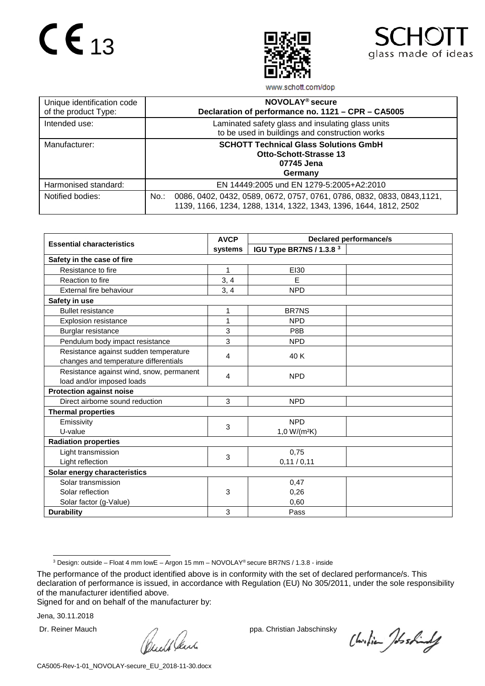



www.schott.com/dop

| Unique identification code<br>of the product Type: | NOVOLAY <sup>®</sup> secure<br>Declaration of performance no. 1121 - CPR - CA5005                                                                      |
|----------------------------------------------------|--------------------------------------------------------------------------------------------------------------------------------------------------------|
| Intended use:                                      | Laminated safety glass and insulating glass units<br>to be used in buildings and construction works                                                    |
| Manufacturer:                                      | <b>SCHOTT Technical Glass Solutions GmbH</b><br><b>Otto-Schott-Strasse 13</b><br>07745 Jena<br>Germany                                                 |
| Harmonised standard:                               | EN 14449:2005 und EN 1279-5:2005+A2:2010                                                                                                               |
| Notified bodies:                                   | 0086, 0402, 0432, 0589, 0672, 0757, 0761, 0786, 0832, 0833, 0843, 1121,<br>$No.$ :<br>1139, 1166, 1234, 1288, 1314, 1322, 1343, 1396, 1644, 1812, 2502 |

|                                          | <b>AVCP</b>  | <b>Declared performance/s</b> |  |  |  |
|------------------------------------------|--------------|-------------------------------|--|--|--|
| <b>Essential characteristics</b>         | systems      | IGU Type BR7NS / 1.3.8 3      |  |  |  |
| Safety in the case of fire               |              |                               |  |  |  |
| Resistance to fire                       | $\mathbf{1}$ | E130                          |  |  |  |
| Reaction to fire                         | 3, 4         | E                             |  |  |  |
| External fire behaviour                  | 3, 4         | <b>NPD</b>                    |  |  |  |
| Safety in use                            |              |                               |  |  |  |
| <b>Bullet resistance</b>                 | 1            | <b>BR7NS</b>                  |  |  |  |
| <b>Explosion resistance</b>              | 1            | <b>NPD</b>                    |  |  |  |
| Burglar resistance                       | 3            | P8B                           |  |  |  |
| Pendulum body impact resistance          | 3            | <b>NPD</b>                    |  |  |  |
| Resistance against sudden temperature    | 4            | 40 K                          |  |  |  |
| changes and temperature differentials    |              |                               |  |  |  |
| Resistance against wind, snow, permanent | 4            | <b>NPD</b>                    |  |  |  |
| load and/or imposed loads                |              |                               |  |  |  |
| <b>Protection against noise</b>          |              |                               |  |  |  |
| Direct airborne sound reduction          | 3            | <b>NPD</b>                    |  |  |  |
| <b>Thermal properties</b>                |              |                               |  |  |  |
| Emissivity                               | 3            | <b>NPD</b>                    |  |  |  |
| U-value                                  |              | $1,0 W/(m^2K)$                |  |  |  |
| <b>Radiation properties</b>              |              |                               |  |  |  |
| Light transmission                       | 3            | 0,75                          |  |  |  |
| Light reflection                         |              | 0,11/0,11                     |  |  |  |
| Solar energy characteristics             |              |                               |  |  |  |
| Solar transmission                       |              | 0,47                          |  |  |  |
| Solar reflection                         | 3            | 0,26                          |  |  |  |
| Solar factor (g-Value)                   |              | 0,60                          |  |  |  |
| <b>Durability</b>                        | 3            | Pass                          |  |  |  |

Signed for and on behalf of the manufacturer by:

Dr. Reiner Mauch ppa. Christian Jabschinsky<br>
ppa. Christian Jabschinsky<br>
ppa. Christian Jabschinsky

Christian Joshindy

 <sup>3</sup> Design: outside – Float <sup>4</sup> mm lowE – Argon <sup>15</sup> mm – NOVOLAY® secure BR7NS / 1.3.8 - inside

<span id="page-11-0"></span>The performance of the product identified above is in conformity with the set of declared performance/s. This declaration of performance is issued, in accordance with Regulation (EU) No 305/2011, under the sole responsibility of the manufacturer identified above.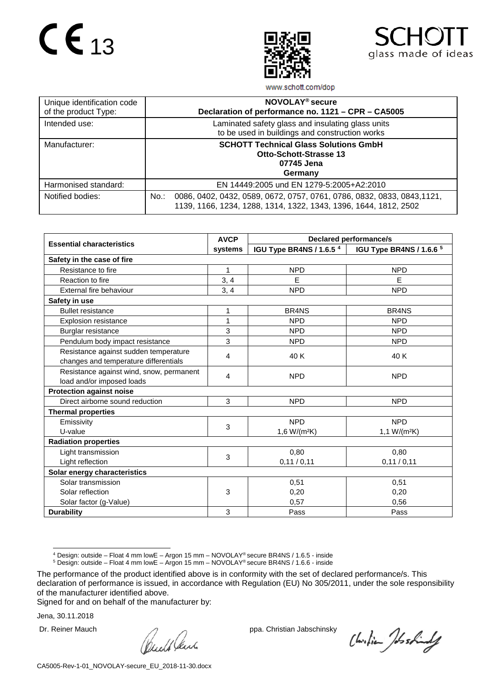



www.schott.com/dop

| Unique identification code<br>of the product Type: | NOVOLAY <sup>®</sup> secure<br>Declaration of performance no. 1121 - CPR - CA5005                                                                      |
|----------------------------------------------------|--------------------------------------------------------------------------------------------------------------------------------------------------------|
| Intended use:                                      | Laminated safety glass and insulating glass units<br>to be used in buildings and construction works                                                    |
| Manufacturer:                                      | <b>SCHOTT Technical Glass Solutions GmbH</b><br><b>Otto-Schott-Strasse 13</b><br>07745 Jena<br>Germany                                                 |
| Harmonised standard:                               | EN 14449:2005 und EN 1279-5:2005+A2:2010                                                                                                               |
| Notified bodies:                                   | 0086, 0402, 0432, 0589, 0672, 0757, 0761, 0786, 0832, 0833, 0843, 1121,<br>$No.$ :<br>1139, 1166, 1234, 1288, 1314, 1322, 1343, 1396, 1644, 1812, 2502 |

|                                          | <b>AVCP</b> | <b>Declared performance/s</b>       |                                |  |  |
|------------------------------------------|-------------|-------------------------------------|--------------------------------|--|--|
| <b>Essential characteristics</b>         | systems     | IGU Type BR4NS / 1.6.5 <sup>4</sup> | IGU Type BR4NS / 1.6.6 5       |  |  |
| Safety in the case of fire               |             |                                     |                                |  |  |
| Resistance to fire                       | 1           | <b>NPD</b>                          | <b>NPD</b>                     |  |  |
| Reaction to fire                         | 3, 4        | E                                   | E                              |  |  |
| External fire behaviour                  | 3, 4        | <b>NPD</b>                          | <b>NPD</b>                     |  |  |
| Safety in use                            |             |                                     |                                |  |  |
| <b>Bullet resistance</b>                 | 1           | BR <sub>4</sub> N <sub>S</sub>      | BR <sub>4</sub> N <sub>S</sub> |  |  |
| <b>Explosion resistance</b>              | 1           | <b>NPD</b>                          | <b>NPD</b>                     |  |  |
| Burglar resistance                       | 3           | <b>NPD</b>                          | <b>NPD</b>                     |  |  |
| Pendulum body impact resistance          | 3           | <b>NPD</b>                          | <b>NPD</b>                     |  |  |
| Resistance against sudden temperature    |             | 40 K                                | 40 K                           |  |  |
| changes and temperature differentials    | 4           |                                     |                                |  |  |
| Resistance against wind, snow, permanent |             | <b>NPD</b>                          | <b>NPD</b>                     |  |  |
| load and/or imposed loads                | 4           |                                     |                                |  |  |
| <b>Protection against noise</b>          |             |                                     |                                |  |  |
| Direct airborne sound reduction          | 3           | <b>NPD</b>                          | <b>NPD</b>                     |  |  |
| <b>Thermal properties</b>                |             |                                     |                                |  |  |
| Emissivity                               | 3           | <b>NPD</b>                          | <b>NPD</b>                     |  |  |
| U-value                                  |             |                                     | 1,1 $W/(m^2K)$                 |  |  |
| <b>Radiation properties</b>              |             |                                     |                                |  |  |
| Light transmission                       | 3           | 0.80                                | 0.80                           |  |  |
| Light reflection                         |             | 0,11/0,11                           | 0,11/0,11                      |  |  |
| Solar energy characteristics             |             |                                     |                                |  |  |
| Solar transmission                       |             | 0,51                                | 0,51                           |  |  |
| Solar reflection                         | 3           | 0,20                                | 0,20                           |  |  |
| Solar factor (g-Value)                   |             | 0,57                                | 0,56                           |  |  |
| <b>Durability</b>                        | 3           | Pass                                | Pass                           |  |  |

4 Design: outside – Float <sup>4</sup> mm lowE – Argon <sup>15</sup> mm – NOVOLAY® secure BR4NS / 1.6.5 - inside

<sup>5</sup> Design: outside – Float 4 mm lowE – Argon 15 mm – NOVOLAY® secure BR4NS / 1.6.6 - inside

Signed for and on behalf of the manufacturer by:

Dr. Reiner Mauch ppa. Christian Jabschinsky<br>
ppa. Christian Jabschinsky<br>
ppa. Christian Jabschinsky

Christian Joshindy

<span id="page-12-1"></span><span id="page-12-0"></span>The performance of the product identified above is in conformity with the set of declared performance/s. This declaration of performance is issued, in accordance with Regulation (EU) No 305/2011, under the sole responsibility of the manufacturer identified above.